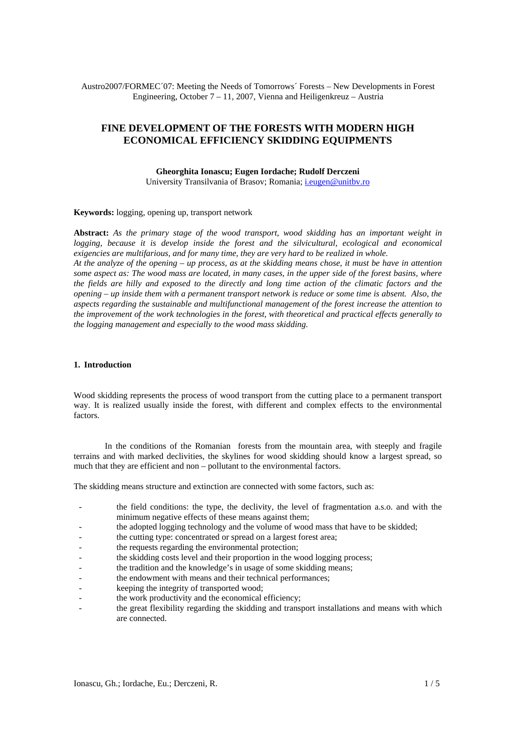Austro2007/FORMEC´07: Meeting the Needs of Tomorrows´ Forests – New Developments in Forest Engineering, October  $7 - 11$ , 2007, Vienna and Heiligenkreuz – Austria

# **FINE DEVELOPMENT OF THE FORESTS WITH MODERN HIGH ECONOMICAL EFFICIENCY SKIDDING EQUIPMENTS**

**Gheorghita Ionascu; Eugen Iordache; Rudolf Derczeni**  University Transilvania of Brasov; Romania; *[i.eugen@unitbv.ro](mailto:i.eugen@unitbv.ro)* 

**Keywords:** logging, opening up, transport network

**Abstract:** *As the primary stage of the wood transport, wood skidding has an important weight in logging, because it is develop inside the forest and the silvicultural, ecological and economical exigencies are multifarious, and for many time, they are very hard to be realized in whole. At the analyze of the opening – up process, as at the skidding means chose, it must be have in attention* 

*some aspect as: The wood mass are located, in many cases, in the upper side of the forest basins, where the fields are hilly and exposed to the directly and long time action of the climatic factors and the opening – up inside them with a permanent transport network is reduce or some time is absent. Also, the aspects regarding the sustainable and multifunctional management of the forest increase the attention to the improvement of the work technologies in the forest, with theoretical and practical effects generally to the logging management and especially to the wood mass skidding.* 

#### **1. Introduction**

Wood skidding represents the process of wood transport from the cutting place to a permanent transport way. It is realized usually inside the forest, with different and complex effects to the environmental factors.

In the conditions of the Romanian forests from the mountain area, with steeply and fragile terrains and with marked declivities, the skylines for wood skidding should know a largest spread, so much that they are efficient and non – pollutant to the environmental factors.

The skidding means structure and extinction are connected with some factors, such as:

- the field conditions: the type, the declivity, the level of fragmentation a.s.o. and with the minimum negative effects of these means against them;
- the adopted logging technology and the volume of wood mass that have to be skidded;
- the cutting type: concentrated or spread on a largest forest area;
- the requests regarding the environmental protection;
- the skidding costs level and their proportion in the wood logging process;
- the tradition and the knowledge's in usage of some skidding means;
- the endowment with means and their technical performances;
- keeping the integrity of transported wood;
- the work productivity and the economical efficiency;
- the great flexibility regarding the skidding and transport installations and means with which are connected.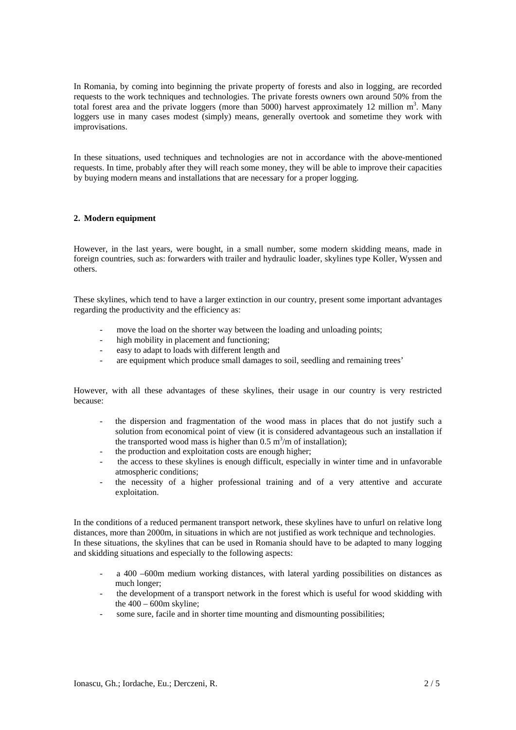In Romania, by coming into beginning the private property of forests and also in logging, are recorded requests to the work techniques and technologies. The private forests owners own around 50% from the total forest area and the private loggers (more than 5000) harvest approximately 12 million  $m<sup>3</sup>$ . Many loggers use in many cases modest (simply) means, generally overtook and sometime they work with improvisations.

In these situations, used techniques and technologies are not in accordance with the above-mentioned requests. In time, probably after they will reach some money, they will be able to improve their capacities by buying modern means and installations that are necessary for a proper logging.

### **2. Modern equipment**

However, in the last years, were bought, in a small number, some modern skidding means, made in foreign countries, such as: forwarders with trailer and hydraulic loader, skylines type Koller, Wyssen and others.

These skylines, which tend to have a larger extinction in our country, present some important advantages regarding the productivity and the efficiency as:

- move the load on the shorter way between the loading and unloading points;
- high mobility in placement and functioning;
- easy to adapt to loads with different length and
- are equipment which produce small damages to soil, seedling and remaining trees'

However, with all these advantages of these skylines, their usage in our country is very restricted because:

- the dispersion and fragmentation of the wood mass in places that do not justify such a solution from economical point of view (it is considered advantageous such an installation if the transported wood mass is higher than  $0.5 \text{ m}^3/\text{m}$  of installation);
- the production and exploitation costs are enough higher;
- the access to these skylines is enough difficult, especially in winter time and in unfavorable atmospheric conditions;
- the necessity of a higher professional training and of a very attentive and accurate exploitation.

In the conditions of a reduced permanent transport network, these skylines have to unfurl on relative long distances, more than 2000m, in situations in which are not justified as work technique and technologies. In these situations, the skylines that can be used in Romania should have to be adapted to many logging and skidding situations and especially to the following aspects:

- a 400 –600m medium working distances, with lateral yarding possibilities on distances as much longer;
- the development of a transport network in the forest which is useful for wood skidding with the  $400 - 600$ m skyline:
- some sure, facile and in shorter time mounting and dismounting possibilities;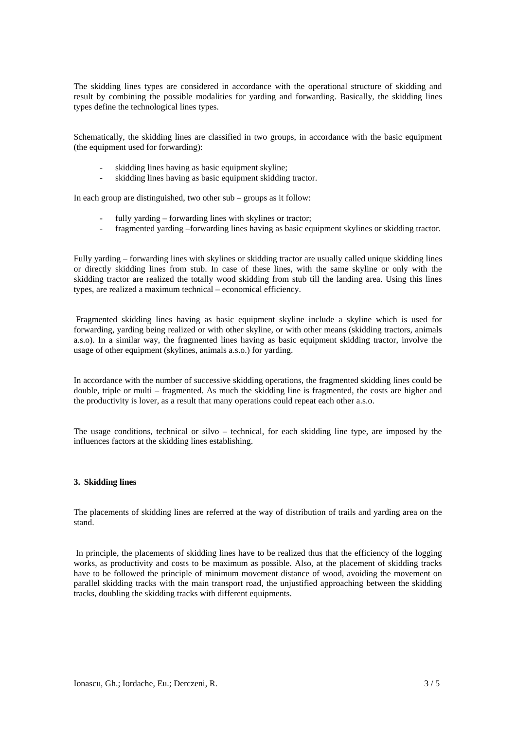The skidding lines types are considered in accordance with the operational structure of skidding and result by combining the possible modalities for yarding and forwarding. Basically, the skidding lines types define the technological lines types.

Schematically, the skidding lines are classified in two groups, in accordance with the basic equipment (the equipment used for forwarding):

- skidding lines having as basic equipment skyline;
- skidding lines having as basic equipment skidding tractor.

In each group are distinguished, two other sub – groups as it follow:

- fully yarding forwarding lines with skylines or tractor;
- fragmented yarding –forwarding lines having as basic equipment skylines or skidding tractor.

Fully yarding – forwarding lines with skylines or skidding tractor are usually called unique skidding lines or directly skidding lines from stub. In case of these lines, with the same skyline or only with the skidding tractor are realized the totally wood skidding from stub till the landing area. Using this lines types, are realized a maximum technical – economical efficiency.

 Fragmented skidding lines having as basic equipment skyline include a skyline which is used for forwarding, yarding being realized or with other skyline, or with other means (skidding tractors, animals a.s.o). In a similar way, the fragmented lines having as basic equipment skidding tractor, involve the usage of other equipment (skylines, animals a.s.o.) for yarding.

In accordance with the number of successive skidding operations, the fragmented skidding lines could be double, triple or multi – fragmented. As much the skidding line is fragmented, the costs are higher and the productivity is lover, as a result that many operations could repeat each other a.s.o.

The usage conditions, technical or silvo – technical, for each skidding line type, are imposed by the influences factors at the skidding lines establishing.

#### **3. Skidding lines**

The placements of skidding lines are referred at the way of distribution of trails and yarding area on the stand.

 In principle, the placements of skidding lines have to be realized thus that the efficiency of the logging works, as productivity and costs to be maximum as possible. Also, at the placement of skidding tracks have to be followed the principle of minimum movement distance of wood, avoiding the movement on parallel skidding tracks with the main transport road, the unjustified approaching between the skidding tracks, doubling the skidding tracks with different equipments.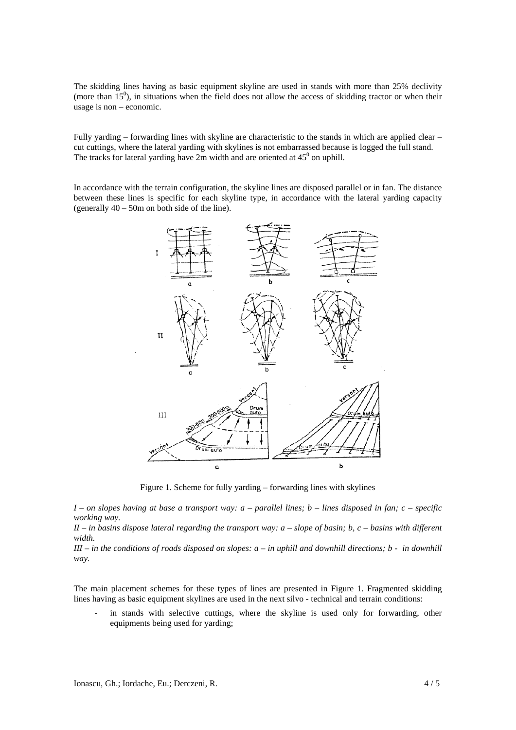The skidding lines having as basic equipment skyline are used in stands with more than 25% declivity (more than  $15^{\circ}$ ), in situations when the field does not allow the access of skidding tractor or when their usage is non – economic.

Fully yarding – forwarding lines with skyline are characteristic to the stands in which are applied clear – cut cuttings, where the lateral yarding with skylines is not embarrassed because is logged the full stand. The tracks for lateral yarding have 2m width and are oriented at  $45^{\circ}$  on uphill.

In accordance with the terrain configuration, the skyline lines are disposed parallel or in fan. The distance between these lines is specific for each skyline type, in accordance with the lateral yarding capacity (generally 40 – 50m on both side of the line).



Figure 1. Scheme for fully yarding – forwarding lines with skylines

*I – on slopes having at base a transport way: a – parallel lines; b – lines disposed in fan; c – specific working way.* 

*II – in basins dispose lateral regarding the transport way: a – slope of basin; b, c – basins with different width.* 

*III – in the conditions of roads disposed on slopes: a – in uphill and downhill directions; b - in downhill way.* 

The main placement schemes for these types of lines are presented in Figure 1. Fragmented skidding lines having as basic equipment skylines are used in the next silvo - technical and terrain conditions:

in stands with selective cuttings, where the skyline is used only for forwarding, other equipments being used for yarding;